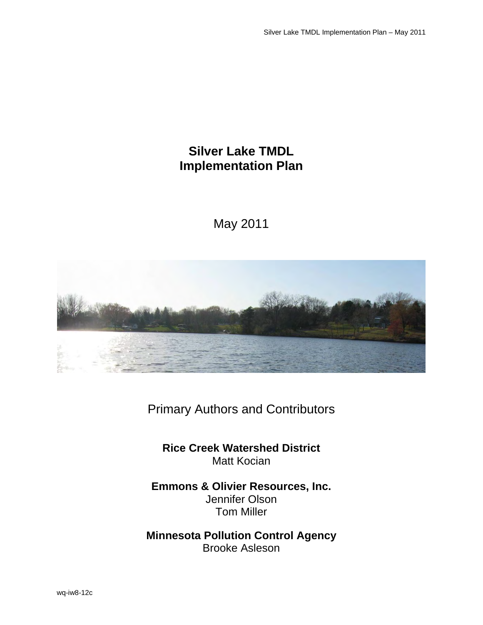# **Silver Lake TMDL Implementation Plan**

May 2011



Primary Authors and Contributors

**Rice Creek Watershed District**  Matt Kocian

**Emmons & Olivier Resources, Inc.**  Jennifer Olson Tom Miller

**Minnesota Pollution Control Agency**  Brooke Asleson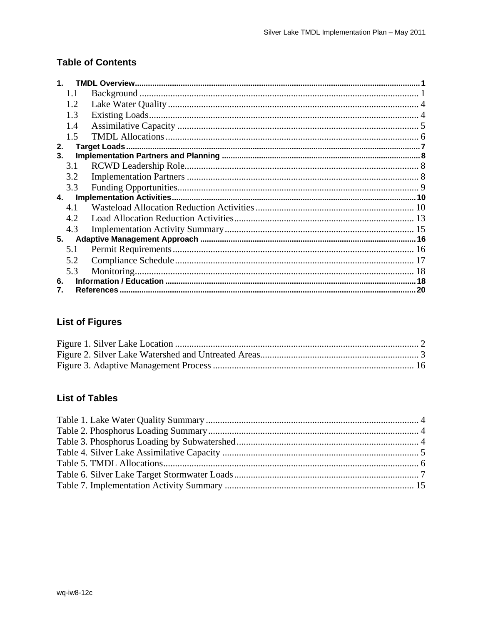### **Table of Contents**

| 1.1  |  |
|------|--|
| 1.2. |  |
| 1.3  |  |
| 1.4  |  |
| 1.5  |  |
| 2.   |  |
| 3.   |  |
| 3.1  |  |
| 3.2  |  |
| 3.3  |  |
| 4.   |  |
| 4.1  |  |
| 4.2  |  |
| 4.3  |  |
| 5.   |  |
| 5.1  |  |
| 5.2  |  |
| 5.3  |  |
| 6.   |  |
|      |  |

## **List of Figures**

## **List of Tables**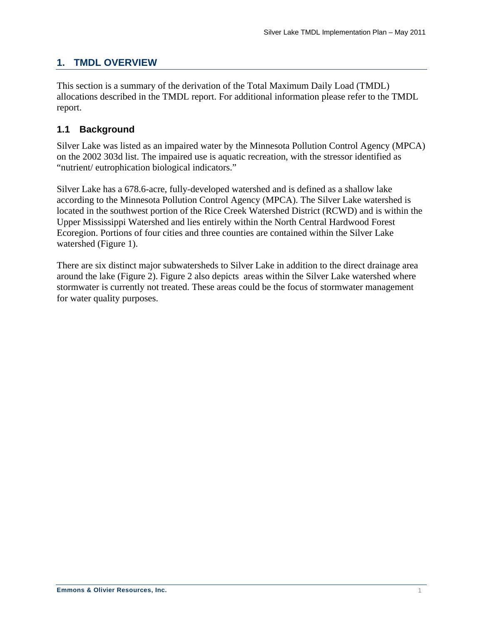## <span id="page-3-0"></span>**1. TMDL OVERVIEW**

This section is a summary of the derivation of the Total Maximum Daily Load (TMDL) allocations described in the TMDL report. For additional information please refer to the TMDL report.

### **1.1 Background**

Silver Lake was listed as an impaired water by the Minnesota Pollution Control Agency (MPCA) on the 2002 303d list. The impaired use is aquatic recreation, with the stressor identified as "nutrient/ eutrophication biological indicators."

Silver Lake has a 678.6-acre, fully-developed watershed and is defined as a shallow lake according to the Minnesota Pollution Control Agency (MPCA). The Silver Lake watershed is located in the southwest portion of the Rice Creek Watershed District (RCWD) and is within the Upper Mississippi Watershed and lies entirely within the North Central Hardwood Forest Ecoregion. Portions of four cities and three counties are contained within the Silver Lake watershed ([Figure 1\)](#page-4-1).

There are six distinct major subwatersheds to Silver Lake in addition to the direct drainage area around the lake ([Figure 2](#page-5-1)). [Figure 2](#page-5-1) also depicts areas within the Silver Lake watershed where stormwater is currently not treated. These areas could be the focus of stormwater management for water quality purposes.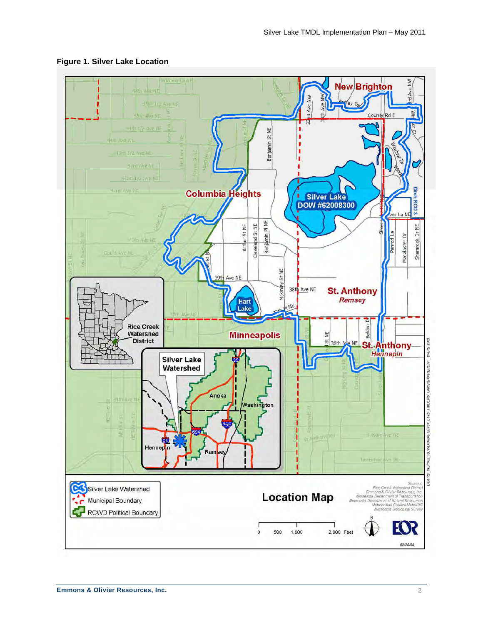<span id="page-4-1"></span>

#### <span id="page-4-0"></span>**Figure 1. Silver Lake Location**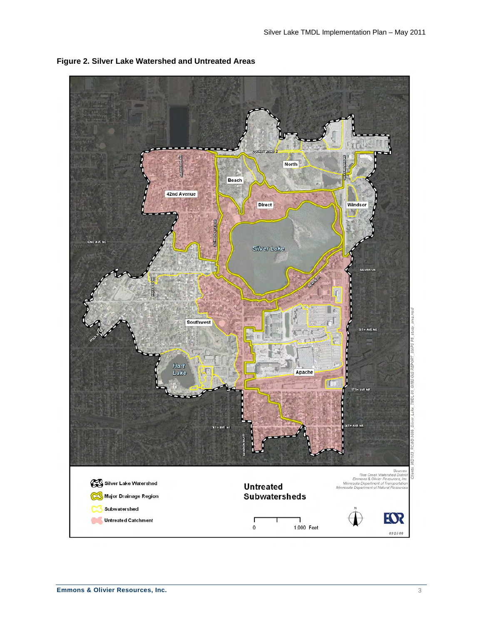

<span id="page-5-1"></span><span id="page-5-0"></span>**Figure 2. Silver Lake Watershed and Untreated Areas**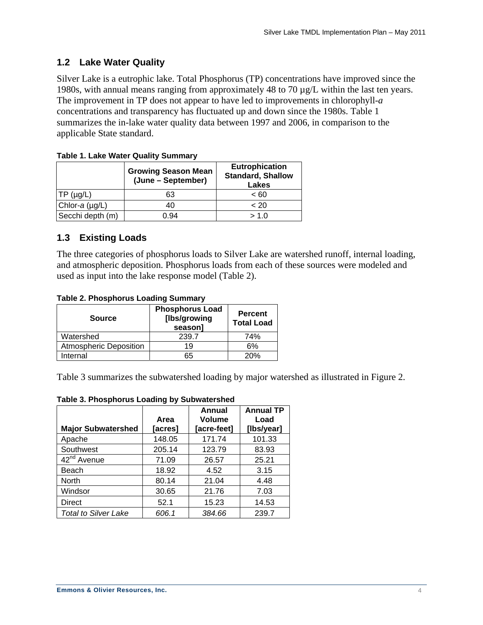### <span id="page-6-0"></span>**1.2 Lake Water Quality**

Silver Lake is a eutrophic lake. Total Phosphorus (TP) concentrations have improved since the 1980s, with annual means ranging from approximately 48 to 70 µg/L within the last ten years. The improvement in TP does not appear to have led to improvements in chlorophyll-*a* concentrations and transparency has fluctuated up and down since the 1980s. [Table 1](#page-6-1) summarizes the in-lake water quality data between 1997 and 2006, in comparison to the applicable State standard.

| Table 1. Lake Water Quality Ourlillian |                                                  |                                                            |  |  |  |  |
|----------------------------------------|--------------------------------------------------|------------------------------------------------------------|--|--|--|--|
|                                        | <b>Growing Season Mean</b><br>(June – September) | <b>Eutrophication</b><br><b>Standard, Shallow</b><br>Lakes |  |  |  |  |
| $TP(\mu g/L)$                          | 63                                               | ~< 60                                                      |  |  |  |  |
| Chlor- $a$ (µg/L)                      | 40                                               | < 20                                                       |  |  |  |  |
| Secchi depth (m)                       | 0.94                                             | > 1.0                                                      |  |  |  |  |

<span id="page-6-1"></span>**Table 1. Lake Water Quality Summary** 

### **1.3 Existing Loads**

The three categories of phosphorus loads to Silver Lake are watershed runoff, internal loading, and atmospheric deposition. Phosphorus loads from each of these sources were modeled and used as input into the lake response model ([Table 2](#page-6-2)).

|  |  | <b>Table 2. Phosphorus Loading Summary</b> |
|--|--|--------------------------------------------|
|  |  |                                            |

<span id="page-6-2"></span>

| <b>Source</b>                 | <b>Phosphorus Load</b><br>[lbs/growing<br>season] | <b>Percent</b><br><b>Total Load</b> |
|-------------------------------|---------------------------------------------------|-------------------------------------|
| Watershed                     | 239.7                                             | 74%                                 |
| <b>Atmospheric Deposition</b> | 19                                                | 6%                                  |
| Internal                      | 65                                                | 20%                                 |

[Table 3](#page-6-3) summarizes the subwatershed loading by major watershed as illustrated in [Figure 2.](#page-5-1)

<span id="page-6-3"></span>

| <b>Major Subwatershed</b>   | Area<br>acres] | <b>Annual</b><br><b>Volume</b><br>[acre-feet] | <b>Annual TP</b><br>Load<br>[Ibs/year] |
|-----------------------------|----------------|-----------------------------------------------|----------------------------------------|
| Apache                      | 148.05         | 171.74                                        | 101.33                                 |
| Southwest                   | 205.14         | 123.79                                        | 83.93                                  |
| 42 <sup>nd</sup> Avenue     | 71.09          | 26.57                                         | 25.21                                  |
| Beach                       | 18.92          | 4.52                                          | 3.15                                   |
| North                       | 80.14          | 21.04                                         | 4.48                                   |
| Windsor                     | 30.65          | 21.76                                         | 7.03                                   |
| Direct                      | 52.1           | 15.23                                         | 14.53                                  |
| <b>Total to Silver Lake</b> | 606.1          | 384.66                                        | 239.7                                  |

**Table 3. Phosphorus Loading by Subwatershed**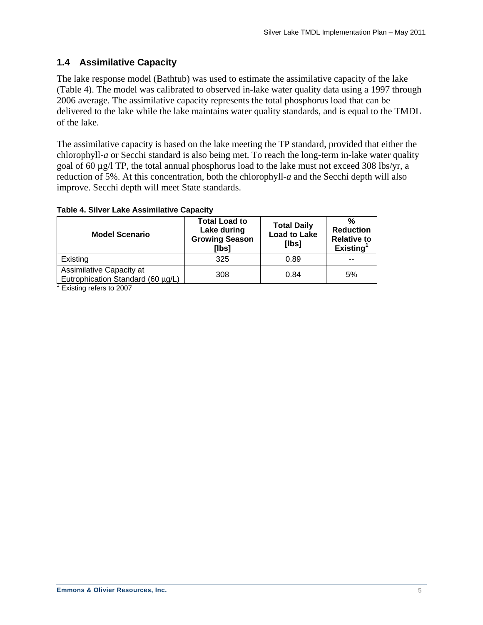### <span id="page-7-0"></span>**1.4 Assimilative Capacity**

The lake response model (Bathtub) was used to estimate the assimilative capacity of the lake ([Table 4](#page-7-1)). The model was calibrated to observed in-lake water quality data using a 1997 through 2006 average. The assimilative capacity represents the total phosphorus load that can be delivered to the lake while the lake maintains water quality standards, and is equal to the TMDL of the lake.

The assimilative capacity is based on the lake meeting the TP standard, provided that either the chlorophyll-*a* or Secchi standard is also being met. To reach the long-term in-lake water quality goal of 60 µg/l TP, the total annual phosphorus load to the lake must not exceed 308 lbs/yr, a reduction of 5%. At this concentration, both the chlorophyll-*a* and the Secchi depth will also improve. Secchi depth will meet State standards.

#### <span id="page-7-1"></span>**Table 4. Silver Lake Assimilative Capacity**

| <b>Model Scenario</b>                                         | <b>Total Load to</b><br>Lake during<br><b>Growing Season</b><br>[lbs] | <b>Total Daily</b><br><b>Load to Lake</b><br>[lbs] | %<br><b>Reduction</b><br><b>Relative to</b><br>Existing <sup>1</sup> |
|---------------------------------------------------------------|-----------------------------------------------------------------------|----------------------------------------------------|----------------------------------------------------------------------|
| Existing                                                      | 325                                                                   | 0.89                                               |                                                                      |
| Assimilative Capacity at<br>Eutrophication Standard (60 µg/L) | 308                                                                   | 0.84                                               | 5%                                                                   |

<sup>1</sup> Existing refers to 2007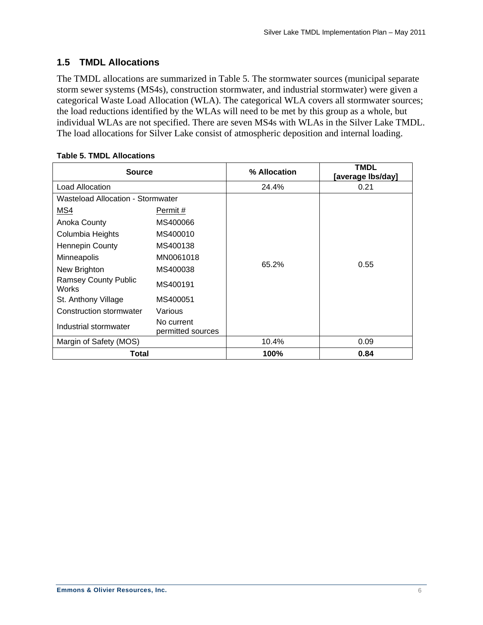### <span id="page-8-0"></span>**1.5 TMDL Allocations**

The TMDL allocations are summarized in [Table 5.](#page-8-1) The stormwater sources (municipal separate storm sewer systems (MS4s), construction stormwater, and industrial stormwater) were given a categorical Waste Load Allocation (WLA). The categorical WLA covers all stormwater sources; the load reductions identified by the WLAs will need to be met by this group as a whole, but individual WLAs are not specified. There are seven MS4s with WLAs in the Silver Lake TMDL. The load allocations for Silver Lake consist of atmospheric deposition and internal loading.

<span id="page-8-1"></span>

| <b>Source</b>                                                  |                                 | % Allocation | <b>TMDL</b><br>[average lbs/day] |
|----------------------------------------------------------------|---------------------------------|--------------|----------------------------------|
| Load Allocation                                                |                                 | 24.4%        | 0.21                             |
| Wasteload Allocation - Stormwater                              |                                 |              |                                  |
| MS4                                                            | Permit #                        |              |                                  |
| Anoka County                                                   | MS400066                        |              |                                  |
| Columbia Heights                                               | MS400010                        |              |                                  |
| Hennepin County<br>MS400138<br>MN0061018<br><b>Minneapolis</b> |                                 |              |                                  |
|                                                                |                                 |              |                                  |
| New Brighton                                                   | MS400038                        | 65.2%        | 0.55                             |
| <b>Ramsey County Public</b><br><b>Works</b>                    | MS400191                        |              |                                  |
| St. Anthony Village                                            | MS400051                        |              |                                  |
| Construction stormwater                                        | Various                         |              |                                  |
| Industrial stormwater                                          | No current<br>permitted sources |              |                                  |
| Margin of Safety (MOS)                                         |                                 | 10.4%        | 0.09                             |
| Total                                                          |                                 | 100%         | 0.84                             |

#### **Table 5. TMDL Allocations**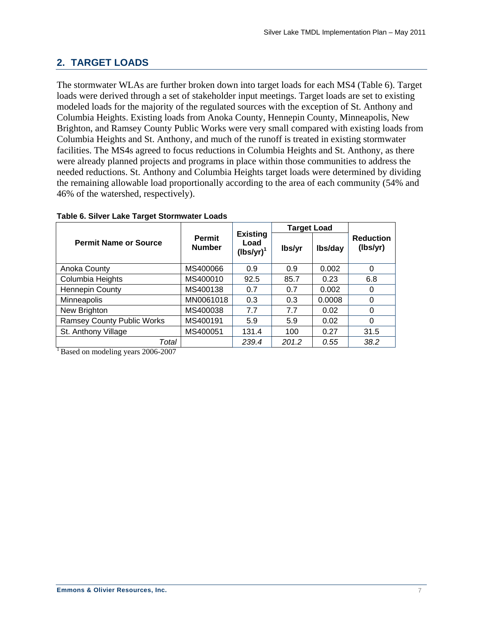## <span id="page-9-0"></span>**2. TARGET LOADS**

The stormwater WLAs are further broken down into target loads for each MS4 ([Table 6\)](#page-9-1). Target loads were derived through a set of stakeholder input meetings. Target loads are set to existing modeled loads for the majority of the regulated sources with the exception of St. Anthony and Columbia Heights. Existing loads from Anoka County, Hennepin County, Minneapolis, New Brighton, and Ramsey County Public Works were very small compared with existing loads from Columbia Heights and St. Anthony, and much of the runoff is treated in existing stormwater facilities. The MS4s agreed to focus reductions in Columbia Heights and St. Anthony, as there were already planned projects and programs in place within those communities to address the needed reductions. St. Anthony and Columbia Heights target loads were determined by dividing the remaining allowable load proportionally according to the area of each community (54% and 46% of the watershed, respectively).

<span id="page-9-1"></span>

|                                   |                                |                                         | <b>Target Load</b> |         |                              |  |
|-----------------------------------|--------------------------------|-----------------------------------------|--------------------|---------|------------------------------|--|
| <b>Permit Name or Source</b>      | <b>Permit</b><br><b>Number</b> | <b>Existing</b><br>Load<br>$(lbs/yr)^1$ | lbs/yr             | Ibs/day | <b>Reduction</b><br>(lbs/yr) |  |
| Anoka County                      | MS400066                       | 0.9                                     | 0.9                | 0.002   | 0                            |  |
| Columbia Heights                  | MS400010                       | 92.5                                    | 85.7               | 0.23    | 6.8                          |  |
| Hennepin County                   | MS400138                       | 0.7                                     | 0.7                | 0.002   | 0                            |  |
| Minneapolis                       | MN0061018                      | 0.3                                     | 0.3                | 0.0008  | 0                            |  |
| New Brighton                      | MS400038                       | 7.7                                     | 7.7                | 0.02    | 0                            |  |
| <b>Ramsey County Public Works</b> | MS400191                       | 5.9                                     | 5.9                | 0.02    | $\Omega$                     |  |
| St. Anthony Village               | MS400051                       | 131.4                                   | 100                | 0.27    | 31.5                         |  |
| Total                             |                                | 239.4                                   | 201.2              | 0.55    | 38.2                         |  |

#### **Table 6. Silver Lake Target Stormwater Loads**

 $1$ Based on modeling years 2006-2007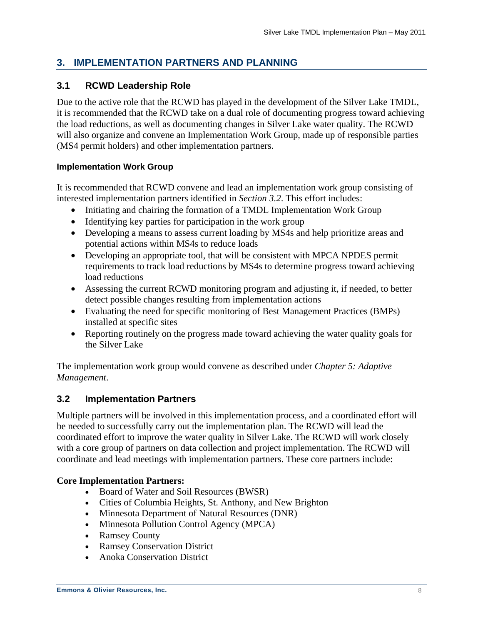## <span id="page-10-0"></span>**3. IMPLEMENTATION PARTNERS AND PLANNING**

### **3.1 RCWD Leadership Role**

Due to the active role that the RCWD has played in the development of the Silver Lake TMDL, it is recommended that the RCWD take on a dual role of documenting progress toward achieving the load reductions, as well as documenting changes in Silver Lake water quality. The RCWD will also organize and convene an Implementation Work Group, made up of responsible parties (MS4 permit holders) and other implementation partners.

### **Implementation Work Group**

It is recommended that RCWD convene and lead an implementation work group consisting of interested implementation partners identified in *Section 3.2*. This effort includes:

- Initiating and chairing the formation of a TMDL Implementation Work Group
- Identifying key parties for participation in the work group
- Developing a means to assess current loading by MS4s and help prioritize areas and potential actions within MS4s to reduce loads
- Developing an appropriate tool, that will be consistent with MPCA NPDES permit requirements to track load reductions by MS4s to determine progress toward achieving load reductions
- Assessing the current RCWD monitoring program and adjusting it, if needed, to better detect possible changes resulting from implementation actions
- Evaluating the need for specific monitoring of Best Management Practices (BMPs) installed at specific sites
- Reporting routinely on the progress made toward achieving the water quality goals for the Silver Lake

The implementation work group would convene as described under *Chapter 5: Adaptive Management*.

### **3.2 Implementation Partners**

Multiple partners will be involved in this implementation process, and a coordinated effort will be needed to successfully carry out the implementation plan. The RCWD will lead the coordinated effort to improve the water quality in Silver Lake. The RCWD will work closely with a core group of partners on data collection and project implementation. The RCWD will coordinate and lead meetings with implementation partners. These core partners include:

### **Core Implementation Partners:**

- Board of Water and Soil Resources (BWSR)
- Cities of Columbia Heights, St. Anthony, and New Brighton
- Minnesota Department of Natural Resources (DNR)
- Minnesota Pollution Control Agency (MPCA)
- Ramsey County
- Ramsey Conservation District
- Anoka Conservation District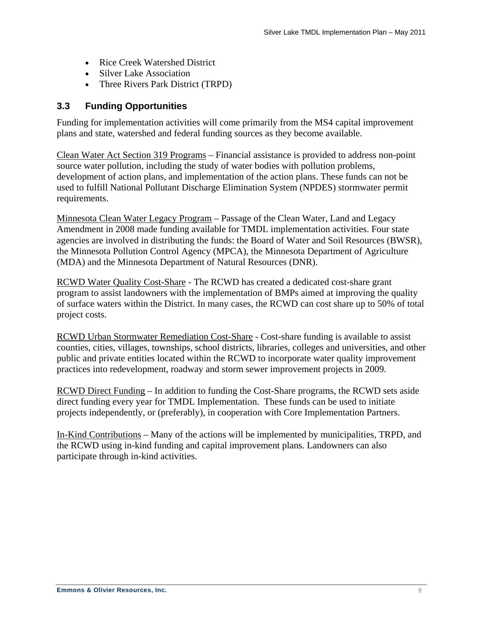- <span id="page-11-0"></span>• Rice Creek Watershed District
- Silver Lake Association
- Three Rivers Park District (TRPD)

### **3.3 Funding Opportunities**

Funding for implementation activities will come primarily from the MS4 capital improvement plans and state, watershed and federal funding sources as they become available.

Clean Water Act Section 319 Programs – Financial assistance is provided to address non-point source water pollution, including the study of water bodies with pollution problems, development of action plans, and implementation of the action plans. These funds can not be used to fulfill National Pollutant Discharge Elimination System (NPDES) stormwater permit requirements.

Minnesota Clean Water Legacy Program – Passage of the Clean Water, Land and Legacy Amendment in 2008 made funding available for TMDL implementation activities. Four state agencies are involved in distributing the funds: the Board of Water and Soil Resources (BWSR), the Minnesota Pollution Control Agency (MPCA), the Minnesota Department of Agriculture (MDA) and the Minnesota Department of Natural Resources (DNR).

RCWD Water Quality Cost-Share - The RCWD has created a dedicated cost-share grant program to assist landowners with the implementation of BMPs aimed at improving the quality of surface waters within the District. In many cases, the RCWD can cost share up to 50% of total project costs.

RCWD Urban Stormwater Remediation Cost-Share - Cost-share funding is available to assist counties, cities, villages, townships, school districts, libraries, colleges and universities, and other public and private entities located within the RCWD to incorporate water quality improvement practices into redevelopment, roadway and storm sewer improvement projects in 2009.

RCWD Direct Funding – In addition to funding the Cost-Share programs, the RCWD sets aside direct funding every year for TMDL Implementation. These funds can be used to initiate projects independently, or (preferably), in cooperation with Core Implementation Partners.

In-Kind Contributions – Many of the actions will be implemented by municipalities, TRPD, and the RCWD using in-kind funding and capital improvement plans. Landowners can also participate through in-kind activities.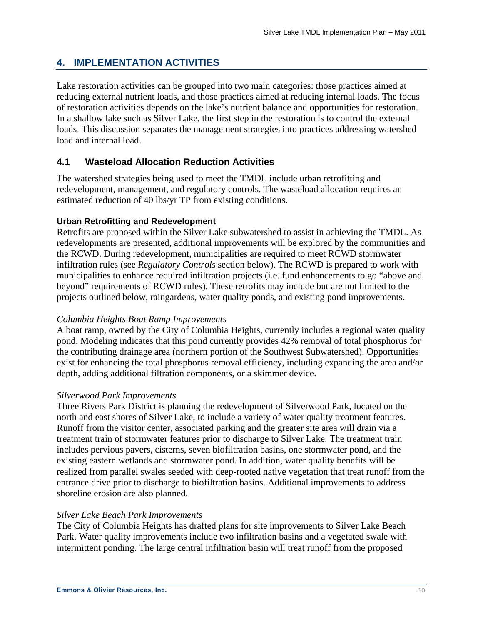### <span id="page-12-0"></span>**4. IMPLEMENTATION ACTIVITIES**

Lake restoration activities can be grouped into two main categories: those practices aimed at reducing external nutrient loads, and those practices aimed at reducing internal loads. The focus of restoration activities depends on the lake's nutrient balance and opportunities for restoration. In a shallow lake such as Silver Lake, the first step in the restoration is to control the external loads. This discussion separates the management strategies into practices addressing watershed load and internal load.

### **4.1 Wasteload Allocation Reduction Activities**

The watershed strategies being used to meet the TMDL include urban retrofitting and redevelopment, management, and regulatory controls. The wasteload allocation requires an estimated reduction of 40 lbs/yr TP from existing conditions.

#### **Urban Retrofitting and Redevelopment**

Retrofits are proposed within the Silver Lake subwatershed to assist in achieving the TMDL. As redevelopments are presented, additional improvements will be explored by the communities and the RCWD. During redevelopment, municipalities are required to meet RCWD stormwater infiltration rules (see *Regulatory Controls* section below). The RCWD is prepared to work with municipalities to enhance required infiltration projects (i.e. fund enhancements to go "above and beyond" requirements of RCWD rules). These retrofits may include but are not limited to the projects outlined below, raingardens, water quality ponds, and existing pond improvements.

#### *Columbia Heights Boat Ramp Improvements*

A boat ramp, owned by the City of Columbia Heights, currently includes a regional water quality pond. Modeling indicates that this pond currently provides 42% removal of total phosphorus for the contributing drainage area (northern portion of the Southwest Subwatershed). Opportunities exist for enhancing the total phosphorus removal efficiency, including expanding the area and/or depth, adding additional filtration components, or a skimmer device.

#### *Silverwood Park Improvements*

Three Rivers Park District is planning the redevelopment of Silverwood Park, located on the north and east shores of Silver Lake, to include a variety of water quality treatment features. Runoff from the visitor center, associated parking and the greater site area will drain via a treatment train of stormwater features prior to discharge to Silver Lake. The treatment train includes pervious pavers, cisterns, seven biofiltration basins, one stormwater pond, and the existing eastern wetlands and stormwater pond. In addition, water quality benefits will be realized from parallel swales seeded with deep-rooted native vegetation that treat runoff from the entrance drive prior to discharge to biofiltration basins. Additional improvements to address shoreline erosion are also planned.

#### *Silver Lake Beach Park Improvements*

The City of Columbia Heights has drafted plans for site improvements to Silver Lake Beach Park. Water quality improvements include two infiltration basins and a vegetated swale with intermittent ponding. The large central infiltration basin will treat runoff from the proposed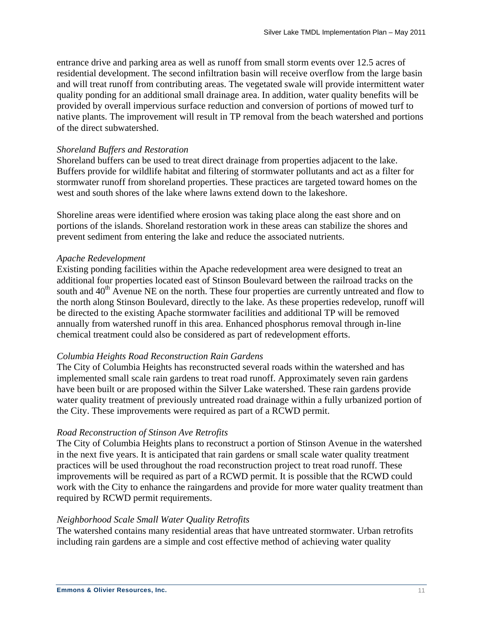entrance drive and parking area as well as runoff from small storm events over 12.5 acres of residential development. The second infiltration basin will receive overflow from the large basin and will treat runoff from contributing areas. The vegetated swale will provide intermittent water quality ponding for an additional small drainage area. In addition, water quality benefits will be provided by overall impervious surface reduction and conversion of portions of mowed turf to native plants. The improvement will result in TP removal from the beach watershed and portions of the direct subwatershed.

#### *Shoreland Buffers and Restoration*

Shoreland buffers can be used to treat direct drainage from properties adjacent to the lake. Buffers provide for wildlife habitat and filtering of stormwater pollutants and act as a filter for stormwater runoff from shoreland properties. These practices are targeted toward homes on the west and south shores of the lake where lawns extend down to the lakeshore.

Shoreline areas were identified where erosion was taking place along the east shore and on portions of the islands. Shoreland restoration work in these areas can stabilize the shores and prevent sediment from entering the lake and reduce the associated nutrients.

#### *Apache Redevelopment*

Existing ponding facilities within the Apache redevelopment area were designed to treat an additional four properties located east of Stinson Boulevard between the railroad tracks on the south and  $40<sup>th</sup>$  Avenue NE on the north. These four properties are currently untreated and flow to the north along Stinson Boulevard, directly to the lake. As these properties redevelop, runoff will be directed to the existing Apache stormwater facilities and additional TP will be removed annually from watershed runoff in this area. Enhanced phosphorus removal through in-line chemical treatment could also be considered as part of redevelopment efforts.

#### *Columbia Heights Road Reconstruction Rain Gardens*

The City of Columbia Heights has reconstructed several roads within the watershed and has implemented small scale rain gardens to treat road runoff. Approximately seven rain gardens have been built or are proposed within the Silver Lake watershed. These rain gardens provide water quality treatment of previously untreated road drainage within a fully urbanized portion of the City. These improvements were required as part of a RCWD permit.

#### *Road Reconstruction of Stinson Ave Retrofits*

The City of Columbia Heights plans to reconstruct a portion of Stinson Avenue in the watershed in the next five years. It is anticipated that rain gardens or small scale water quality treatment practices will be used throughout the road reconstruction project to treat road runoff. These improvements will be required as part of a RCWD permit. It is possible that the RCWD could work with the City to enhance the raingardens and provide for more water quality treatment than required by RCWD permit requirements.

#### *Neighborhood Scale Small Water Quality Retrofits*

The watershed contains many residential areas that have untreated stormwater. Urban retrofits including rain gardens are a simple and cost effective method of achieving water quality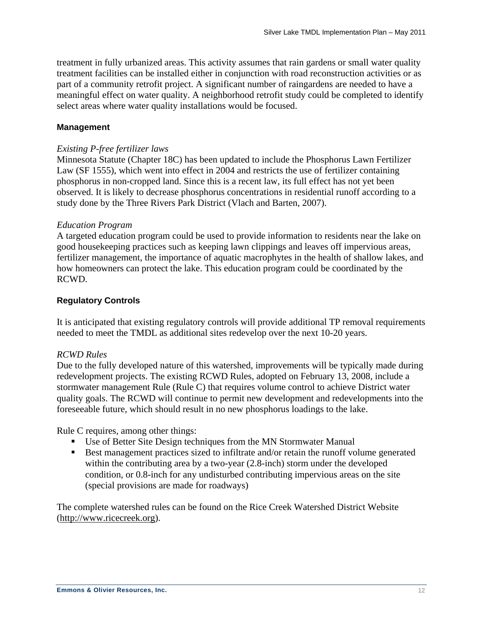treatment in fully urbanized areas. This activity assumes that rain gardens or small water quality treatment facilities can be installed either in conjunction with road reconstruction activities or as part of a community retrofit project. A significant number of raingardens are needed to have a meaningful effect on water quality. A neighborhood retrofit study could be completed to identify select areas where water quality installations would be focused.

#### **Management**

#### *Existing P-free fertilizer laws*

Minnesota Statute (Chapter 18C) has been updated to include the Phosphorus Lawn Fertilizer Law (SF 1555), which went into effect in 2004 and restricts the use of fertilizer containing phosphorus in non-cropped land. Since this is a recent law, its full effect has not yet been observed. It is likely to decrease phosphorus concentrations in residential runoff according to a study done by the Three Rivers Park District (Vlach and Barten, 2007).

#### *Education Program*

A targeted education program could be used to provide information to residents near the lake on good housekeeping practices such as keeping lawn clippings and leaves off impervious areas, fertilizer management, the importance of aquatic macrophytes in the health of shallow lakes, and how homeowners can protect the lake. This education program could be coordinated by the RCWD.

#### **Regulatory Controls**

It is anticipated that existing regulatory controls will provide additional TP removal requirements needed to meet the TMDL as additional sites redevelop over the next 10-20 years.

#### *RCWD Rules*

Due to the fully developed nature of this watershed, improvements will be typically made during redevelopment projects. The existing RCWD Rules, adopted on February 13, 2008, include a stormwater management Rule (Rule C) that requires volume control to achieve District water quality goals. The RCWD will continue to permit new development and redevelopments into the foreseeable future, which should result in no new phosphorus loadings to the lake.

Rule C requires, among other things:

- Use of Better Site Design techniques from the MN Stormwater Manual
- Best management practices sized to infiltrate and/or retain the runoff volume generated within the contributing area by a two-year (2.8-inch) storm under the developed condition, or 0.8-inch for any undisturbed contributing impervious areas on the site (special provisions are made for roadways)

The complete watershed rules can be found on the Rice Creek Watershed District Website ([http://www.ricecreek.org\)](http://www.ricecreek.org/).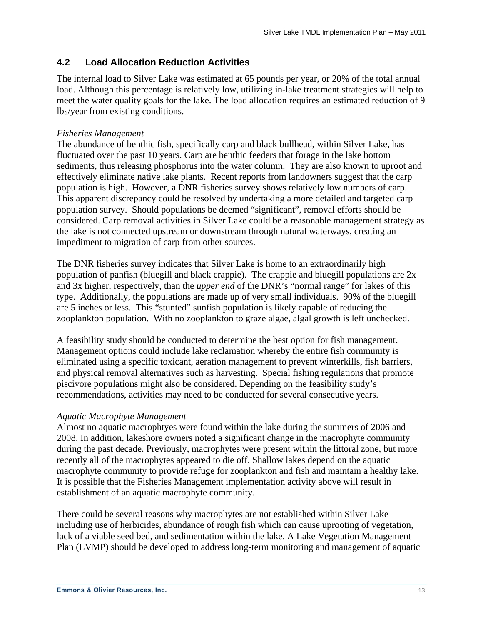### <span id="page-15-0"></span>**4.2 Load Allocation Reduction Activities**

The internal load to Silver Lake was estimated at 65 pounds per year, or 20% of the total annual load. Although this percentage is relatively low, utilizing in-lake treatment strategies will help to meet the water quality goals for the lake. The load allocation requires an estimated reduction of 9 lbs/year from existing conditions.

#### *Fisheries Management*

The abundance of benthic fish, specifically carp and black bullhead, within Silver Lake, has fluctuated over the past 10 years. Carp are benthic feeders that forage in the lake bottom sediments, thus releasing phosphorus into the water column. They are also known to uproot and effectively eliminate native lake plants. Recent reports from landowners suggest that the carp population is high. However, a DNR fisheries survey shows relatively low numbers of carp. This apparent discrepancy could be resolved by undertaking a more detailed and targeted carp population survey. Should populations be deemed "significant", removal efforts should be considered. Carp removal activities in Silver Lake could be a reasonable management strategy as the lake is not connected upstream or downstream through natural waterways, creating an impediment to migration of carp from other sources.

The DNR fisheries survey indicates that Silver Lake is home to an extraordinarily high population of panfish (bluegill and black crappie). The crappie and bluegill populations are 2x and 3x higher, respectively, than the *upper end* of the DNR's "normal range" for lakes of this type. Additionally, the populations are made up of very small individuals. 90% of the bluegill are 5 inches or less. This "stunted" sunfish population is likely capable of reducing the zooplankton population. With no zooplankton to graze algae, algal growth is left unchecked.

A feasibility study should be conducted to determine the best option for fish management. Management options could include lake reclamation whereby the entire fish community is eliminated using a specific toxicant, aeration management to prevent winterkills, fish barriers, and physical removal alternatives such as harvesting. Special fishing regulations that promote piscivore populations might also be considered. Depending on the feasibility study's recommendations, activities may need to be conducted for several consecutive years.

#### *Aquatic Macrophyte Management*

Almost no aquatic macrophtyes were found within the lake during the summers of 2006 and 2008. In addition, lakeshore owners noted a significant change in the macrophyte community during the past decade. Previously, macrophytes were present within the littoral zone, but more recently all of the macrophytes appeared to die off. Shallow lakes depend on the aquatic macrophyte community to provide refuge for zooplankton and fish and maintain a healthy lake. It is possible that the Fisheries Management implementation activity above will result in establishment of an aquatic macrophyte community.

There could be several reasons why macrophytes are not established within Silver Lake including use of herbicides, abundance of rough fish which can cause uprooting of vegetation, lack of a viable seed bed, and sedimentation within the lake. A Lake Vegetation Management Plan (LVMP) should be developed to address long-term monitoring and management of aquatic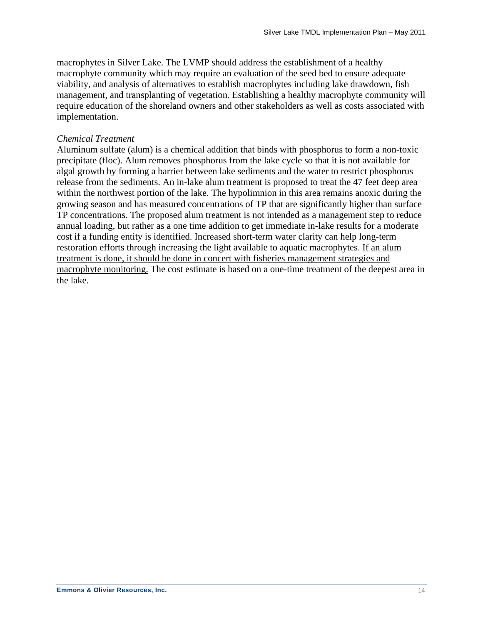macrophytes in Silver Lake. The LVMP should address the establishment of a healthy macrophyte community which may require an evaluation of the seed bed to ensure adequate viability, and analysis of alternatives to establish macrophytes including lake drawdown, fish management, and transplanting of vegetation. Establishing a healthy macrophyte community will require education of the shoreland owners and other stakeholders as well as costs associated with implementation.

#### *Chemical Treatment*

Aluminum sulfate (alum) is a chemical addition that binds with phosphorus to form a non-toxic precipitate (floc). Alum removes phosphorus from the lake cycle so that it is not available for algal growth by forming a barrier between lake sediments and the water to restrict phosphorus release from the sediments. An in-lake alum treatment is proposed to treat the 47 feet deep area within the northwest portion of the lake. The hypolimnion in this area remains anoxic during the growing season and has measured concentrations of TP that are significantly higher than surface TP concentrations. The proposed alum treatment is not intended as a management step to reduce annual loading, but rather as a one time addition to get immediate in-lake results for a moderate cost if a funding entity is identified. Increased short-term water clarity can help long-term restoration efforts through increasing the light available to aquatic macrophytes. If an alum treatment is done, it should be done in concert with fisheries management strategies and macrophyte monitoring. The cost estimate is based on a one-time treatment of the deepest area in the lake.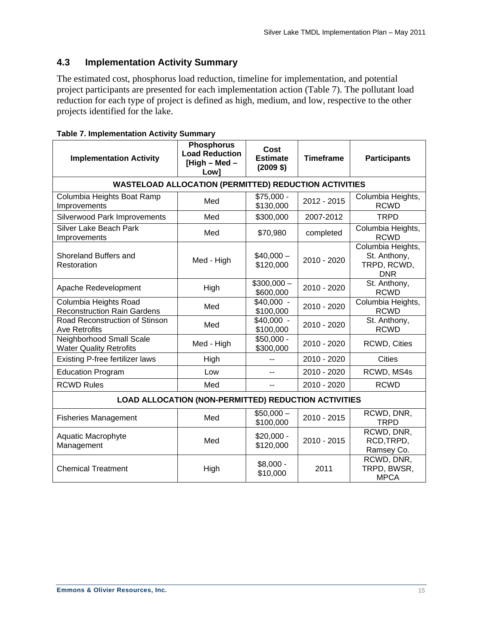### <span id="page-17-0"></span>**4.3 Implementation Activity Summary**

The estimated cost, phosphorus load reduction, timeline for implementation, and potential project participants are presented for each implementation action ([Table 7\)](#page-17-1). The pollutant load reduction for each type of project is defined as high, medium, and low, respective to the other projects identified for the lake.

<span id="page-17-1"></span>

| <b>Implementation Activity</b>                              | <b>Phosphorus</b><br><b>Load Reduction</b><br>[High $-$ Med $-$<br>Low] | Cost<br><b>Estimate</b><br>$(2009$ \$) | <b>Timeframe</b> | <b>Participants</b>                                            |  |
|-------------------------------------------------------------|-------------------------------------------------------------------------|----------------------------------------|------------------|----------------------------------------------------------------|--|
|                                                             | <b>WASTELOAD ALLOCATION (PERMITTED) REDUCTION ACTIVITIES</b>            |                                        |                  |                                                                |  |
| Columbia Heights Boat Ramp<br>Improvements                  | Med                                                                     | $\sqrt{$75,000}$ -<br>\$130,000        | 2012 - 2015      | Columbia Heights,<br><b>RCWD</b>                               |  |
| <b>Silverwood Park Improvements</b>                         | Med                                                                     | \$300,000                              | 2007-2012        | <b>TRPD</b>                                                    |  |
| <b>Silver Lake Beach Park</b><br>Improvements               | Med                                                                     | \$70,980                               | completed        | Columbia Heights,<br><b>RCWD</b>                               |  |
| Shoreland Buffers and<br>Restoration                        | Med - High                                                              | $$40,000-$<br>\$120,000                | 2010 - 2020      | Columbia Heights,<br>St. Anthony,<br>TRPD, RCWD,<br><b>DNR</b> |  |
| Apache Redevelopment                                        | High                                                                    | $$300,000-$<br>\$600,000               | 2010 - 2020      | St. Anthony,<br><b>RCWD</b>                                    |  |
| Columbia Heights Road<br><b>Reconstruction Rain Gardens</b> | Med                                                                     | \$40,000 -<br>\$100,000                | 2010 - 2020      | Columbia Heights,<br><b>RCWD</b>                               |  |
| Road Reconstruction of Stinson<br><b>Ave Retrofits</b>      | Med                                                                     | $\sqrt{40,000}$ -<br>\$100,000         | 2010 - 2020      | St. Anthony,<br><b>RCWD</b>                                    |  |
| Neighborhood Small Scale<br><b>Water Quality Retrofits</b>  | Med - High                                                              | $$50,000 -$<br>\$300,000               | 2010 - 2020      | <b>RCWD, Cities</b>                                            |  |
| Existing P-free fertilizer laws                             | High                                                                    | $-$                                    | 2010 - 2020      | <b>Cities</b>                                                  |  |
| <b>Education Program</b>                                    | Low                                                                     | --                                     | 2010 - 2020      | RCWD, MS4s                                                     |  |
| <b>RCWD Rules</b>                                           | Med                                                                     |                                        | 2010 - 2020      | <b>RCWD</b>                                                    |  |
| LOAD ALLOCATION (NON-PERMITTED) REDUCTION ACTIVITIES        |                                                                         |                                        |                  |                                                                |  |
| <b>Fisheries Management</b>                                 | Med                                                                     | $$50,000-$<br>\$100,000                | 2010 - 2015      | RCWD, DNR,<br><b>TRPD</b>                                      |  |
| Aquatic Macrophyte<br>Management                            | Med                                                                     | $$20,000 -$<br>\$120,000               | 2010 - 2015      | RCWD, DNR,<br>RCD, TRPD,<br>Ramsey Co.                         |  |
| <b>Chemical Treatment</b>                                   | High                                                                    | $$8,000 -$<br>\$10,000                 | 2011             | RCWD, DNR,<br>TRPD, BWSR,<br><b>MPCA</b>                       |  |

|  |  | <b>Table 7. Implementation Activity Summary</b> |  |  |
|--|--|-------------------------------------------------|--|--|
|--|--|-------------------------------------------------|--|--|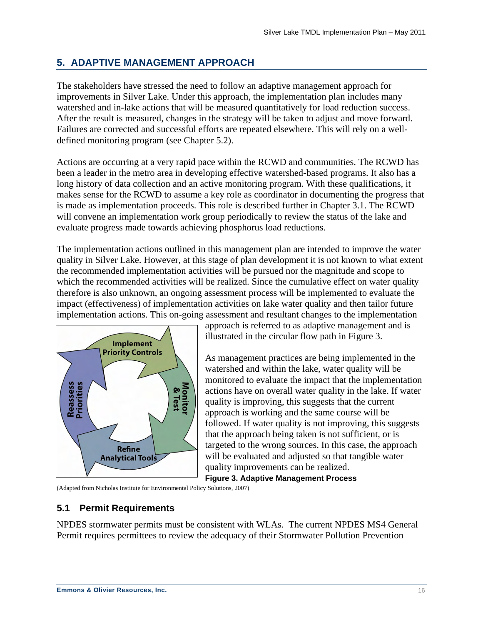## <span id="page-18-0"></span>**5. ADAPTIVE MANAGEMENT APPROACH**

The stakeholders have stressed the need to follow an adaptive management approach for improvements in Silver Lake. Under this approach, the implementation plan includes many watershed and in-lake actions that will be measured quantitatively for load reduction success. After the result is measured, changes in the strategy will be taken to adjust and move forward. Failures are corrected and successful efforts are repeated elsewhere. This will rely on a welldefined monitoring program (see Chapter 5.2).

Actions are occurring at a very rapid pace within the RCWD and communities. The RCWD has been a leader in the metro area in developing effective watershed-based programs. It also has a long history of data collection and an active monitoring program. With these qualifications, it makes sense for the RCWD to assume a key role as coordinator in documenting the progress that is made as implementation proceeds. This role is described further in Chapter 3.1. The RCWD will convene an implementation work group periodically to review the status of the lake and evaluate progress made towards achieving phosphorus load reductions.

The implementation actions outlined in this management plan are intended to improve the water quality in Silver Lake. However, at this stage of plan development it is not known to what extent the recommended implementation activities will be pursued nor the magnitude and scope to which the recommended activities will be realized. Since the cumulative effect on water quality therefore is also unknown, an ongoing assessment process will be implemented to evaluate the impact (effectiveness) of implementation activities on lake water quality and then tailor future implementation actions. This on-going assessment and resultant changes to the implementation



approach is referred to as adaptive management and is illustrated in the circular flow path in [Figure 3](#page-18-1).

As management practices are being implemented in the watershed and within the lake, water quality will be monitored to evaluate the impact that the implementation actions have on overall water quality in the lake. If water quality is improving, this suggests that the current approach is working and the same course will be followed. If water quality is not improving, this suggests that the approach being taken is not sufficient, or is targeted to the wrong sources. In this case, the approach will be evaluated and adjusted so that tangible water quality improvements can be realized.

**Figure 3. Adaptive Management Process** 

<span id="page-18-1"></span>(Adapted from Nicholas Institute for Environmental Policy Solutions, 2007)

### **5.1 Permit Requirements**

NPDES stormwater permits must be consistent with WLAs. The current NPDES MS4 General Permit requires permittees to review the adequacy of their Stormwater Pollution Prevention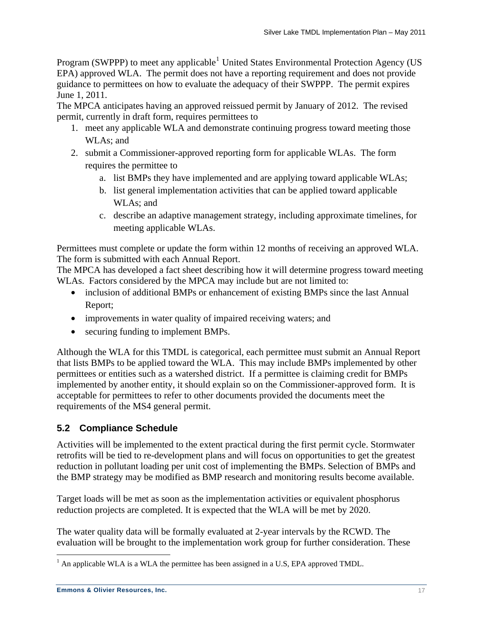<span id="page-19-0"></span>Program (SWPPP) to meet any applicable<sup>[1](#page-19-1)</sup> United States Environmental Protection Agency (US EPA) approved WLA. The permit does not have a reporting requirement and does not provide guidance to permittees on how to evaluate the adequacy of their SWPPP. The permit expires June 1, 2011.

The MPCA anticipates having an approved reissued permit by January of 2012. The revised permit, currently in draft form, requires permittees to

- 1. meet any applicable WLA and demonstrate continuing progress toward meeting those WLAs; and
- 2. submit a Commissioner-approved reporting form for applicable WLAs. The form requires the permittee to
	- a. list BMPs they have implemented and are applying toward applicable WLAs;
	- b. list general implementation activities that can be applied toward applicable WLAs; and
	- c. describe an adaptive management strategy, including approximate timelines, for meeting applicable WLAs.

Permittees must complete or update the form within 12 months of receiving an approved WLA. The form is submitted with each Annual Report.

The MPCA has developed a fact sheet describing how it will determine progress toward meeting WLAs. Factors considered by the MPCA may include but are not limited to:

- inclusion of additional BMPs or enhancement of existing BMPs since the last Annual Report;
- improvements in water quality of impaired receiving waters; and
- securing funding to implement BMPs.

Although the WLA for this TMDL is categorical, each permittee must submit an Annual Report that lists BMPs to be applied toward the WLA. This may include BMPs implemented by other permittees or entities such as a watershed district. If a permittee is claiming credit for BMPs implemented by another entity, it should explain so on the Commissioner-approved form. It is acceptable for permittees to refer to other documents provided the documents meet the requirements of the MS4 general permit.

### **5.2 Compliance Schedule**

Activities will be implemented to the extent practical during the first permit cycle. Stormwater retrofits will be tied to re-development plans and will focus on opportunities to get the greatest reduction in pollutant loading per unit cost of implementing the BMPs. Selection of BMPs and the BMP strategy may be modified as BMP research and monitoring results become available.

Target loads will be met as soon as the implementation activities or equivalent phosphorus reduction projects are completed. It is expected that the WLA will be met by 2020.

The water quality data will be formally evaluated at 2-year intervals by the RCWD. The evaluation will be brought to the implementation work group for further consideration. These

<span id="page-19-1"></span><sup>&</sup>lt;sup>1</sup> An applicable WLA is a WLA the permittee has been assigned in a U.S, EPA approved TMDL.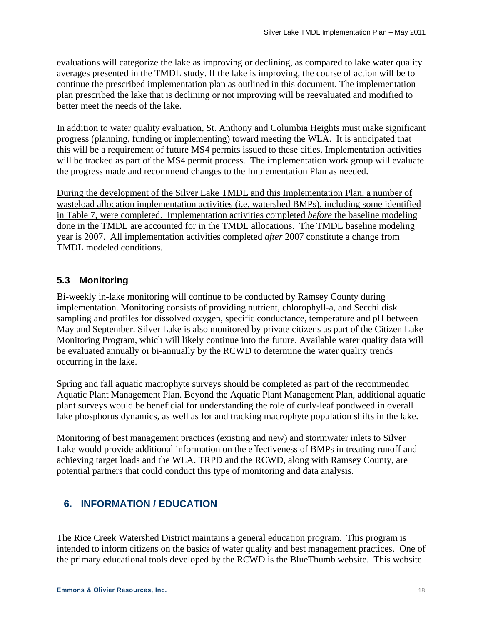<span id="page-20-0"></span>evaluations will categorize the lake as improving or declining, as compared to lake water quality averages presented in the TMDL study. If the lake is improving, the course of action will be to continue the prescribed implementation plan as outlined in this document. The implementation plan prescribed the lake that is declining or not improving will be reevaluated and modified to better meet the needs of the lake.

In addition to water quality evaluation, St. Anthony and Columbia Heights must make significant progress (planning, funding or implementing) toward meeting the WLA. It is anticipated that this will be a requirement of future MS4 permits issued to these cities. Implementation activities will be tracked as part of the MS4 permit process. The implementation work group will evaluate the progress made and recommend changes to the Implementation Plan as needed.

During the development of the Silver Lake TMDL and this Implementation Plan, a number of wasteload allocation implementation activities (i.e. watershed BMPs), including some identified in Table 7, were completed. Implementation activities completed *before* the baseline modeling done in the TMDL are accounted for in the TMDL allocations. The TMDL baseline modeling year is 2007. All implementation activities completed *after* 2007 constitute a change from TMDL modeled conditions.

### **5.3 Monitoring**

Bi-weekly in-lake monitoring will continue to be conducted by Ramsey County during implementation. Monitoring consists of providing nutrient, chlorophyll-a, and Secchi disk sampling and profiles for dissolved oxygen, specific conductance, temperature and pH between May and September. Silver Lake is also monitored by private citizens as part of the Citizen Lake Monitoring Program, which will likely continue into the future. Available water quality data will be evaluated annually or bi-annually by the RCWD to determine the water quality trends occurring in the lake.

Spring and fall aquatic macrophyte surveys should be completed as part of the recommended Aquatic Plant Management Plan. Beyond the Aquatic Plant Management Plan, additional aquatic plant surveys would be beneficial for understanding the role of curly-leaf pondweed in overall lake phosphorus dynamics, as well as for and tracking macrophyte population shifts in the lake.

Monitoring of best management practices (existing and new) and stormwater inlets to Silver Lake would provide additional information on the effectiveness of BMPs in treating runoff and achieving target loads and the WLA. TRPD and the RCWD, along with Ramsey County, are potential partners that could conduct this type of monitoring and data analysis.

## **6. INFORMATION / EDUCATION**

The Rice Creek Watershed District maintains a general education program. This program is intended to inform citizens on the basics of water quality and best management practices. One of the primary educational tools developed by the RCWD is the BlueThumb website. This website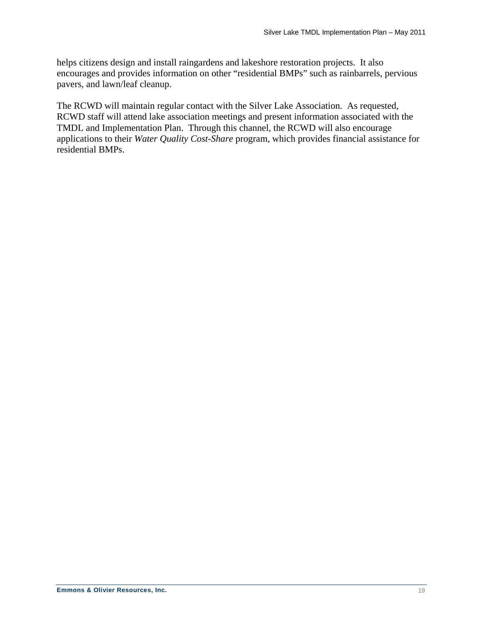helps citizens design and install raingardens and lakeshore restoration projects. It also encourages and provides information on other "residential BMPs" such as rainbarrels, pervious pavers, and lawn/leaf cleanup.

The RCWD will maintain regular contact with the Silver Lake Association. As requested, RCWD staff will attend lake association meetings and present information associated with the TMDL and Implementation Plan. Through this channel, the RCWD will also encourage applications to their *Water Quality Cost-Share* program, which provides financial assistance for residential BMPs.